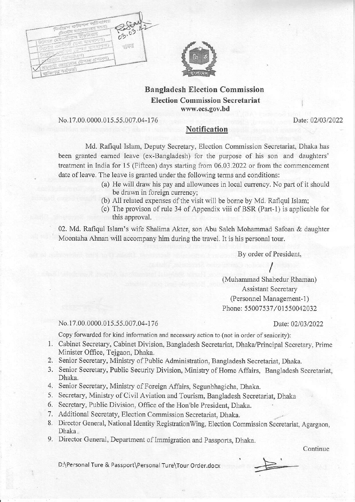



## Bangladesh Election Commission Election Commissior Secretariat www,ecs.gov.bd

## No.17.00.0000.015.55.007.04-176

Date: 02/03/2022

## Notification

Md. Rafiqul Islam, Deputy Secretary, Election Commission Secretariat, Dhaka has been granted earned leave (ex-Bangladesh) for the purpose of his son and daughters' treatment in India for 15 (Fifteen) days starting from  $06.03.2022$  or from the commencement date of leave. The leave is granted under the following terms and conditions:

- (a) He will draw his pay and allowances in local currency. No part of it should be drawn in foreign currency;
- (b) All related expenses of the visit will be borne by Md. Rafiqul Islam;
- (c) The provison of rule 34 of Appendix viii of BSR (Part-1) is applicable for this approval.

02. Md. Rafiqul Islam's wife Shalima Atter, son Abu Saleh Mohammad Safoan & daughter Moontaha Ahnan will accompany him during the travel. It is his personal tour.

By order of President,

 $\sqrt{2}$ (Muhammad Shahedur Rhaman) Assistant Secretary (Personnel Management-1) Phone: 55007537/01550042032

No. 17.00.0000.015.55.007.04-176 Date: 02/03/2022

Copy forwarded for kind information and necessary action to (not in order of seniority):

- 1. Cabinet Secretary, Cabinet Division, Bangladesh Secretariat, Dhaka/Principal Secretary, Prime Minister Office, Tejgaon, Dhaka.
- 2. Senior Secretary, Ministry of Public Administration, Bangladesh Secretariat, Dhaka.
- 3. Senior Secretary, Public Security Division, Ministry of Home Affairs, Bangladesh Secretariat, Dhaka.
- 4. Senior Secretary, Ministry of Foreign Affairs, Segunbhagicha, Dhaka.
- 5. Secretary, Ministry of Civil Aviation and Tourism, Bangladesh Secretariat, Dhaka
- 6. Secretary, Public Division, Office of the Hon'ble President, Dhaka.
- 7. Additional Secretaty, Election Commission Secretariat, Dhaka.
- 8. Director General, National Identity Registration Wing, Election Commission Secretariat, Agargaon, Dhaka.
- 9. Director General, Department of Immigration and Passports, Dhaka.

Continue

D:\Personal Ture & Passport\Personal Ture\Tour Order.docx